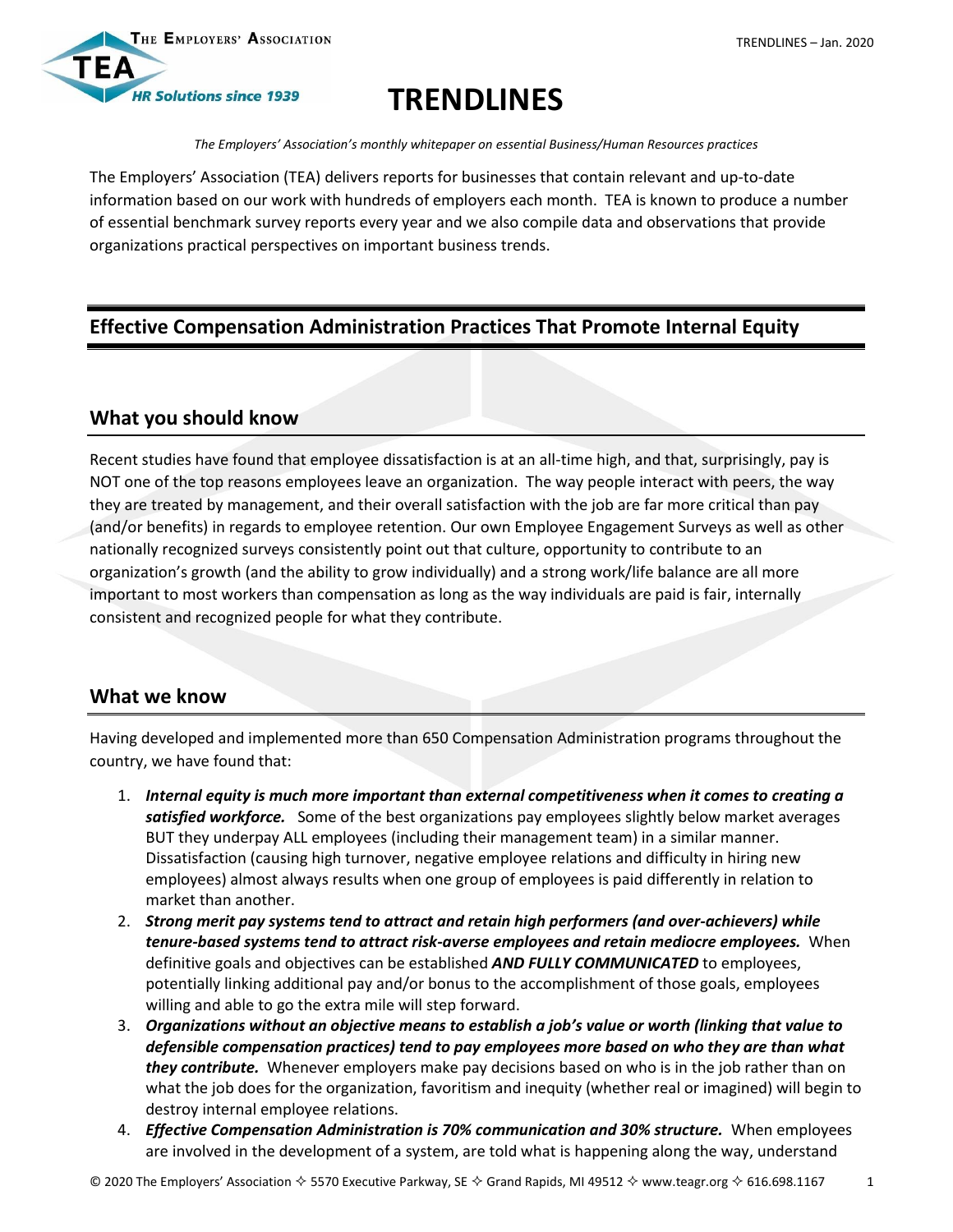



# **TRENDLINES**

*The Employers' Association's monthly whitepaper on essential Business/Human Resources practices*

The Employers' Association (TEA) delivers reports for businesses that contain relevant and up-to-date information based on our work with hundreds of employers each month. TEA is known to produce a number of essential benchmark survey reports every year and we also compile data and observations that provide organizations practical perspectives on important business trends.

## **Effective Compensation Administration Practices That Promote Internal Equity**

#### **What you should know**

Recent studies have found that employee dissatisfaction is at an all-time high, and that, surprisingly, pay is NOT one of the top reasons employees leave an organization. The way people interact with peers, the way they are treated by management, and their overall satisfaction with the job are far more critical than pay (and/or benefits) in regards to employee retention. Our own Employee Engagement Surveys as well as other nationally recognized surveys consistently point out that culture, opportunity to contribute to an organization's growth (and the ability to grow individually) and a strong work/life balance are all more important to most workers than compensation as long as the way individuals are paid is fair, internally consistent and recognized people for what they contribute.

## **What we know**

Having developed and implemented more than 650 Compensation Administration programs throughout the country, we have found that:

- 1. *Internal equity is much more important than external competitiveness when it comes to creating a satisfied workforce.* Some of the best organizations pay employees slightly below market averages BUT they underpay ALL employees (including their management team) in a similar manner. Dissatisfaction (causing high turnover, negative employee relations and difficulty in hiring new employees) almost always results when one group of employees is paid differently in relation to market than another.
- 2. *Strong merit pay systems tend to attract and retain high performers (and over-achievers) while tenure-based systems tend to attract risk-averse employees and retain mediocre employees.* When definitive goals and objectives can be established *AND FULLY COMMUNICATED* to employees, potentially linking additional pay and/or bonus to the accomplishment of those goals, employees willing and able to go the extra mile will step forward.
- 3. *Organizations without an objective means to establish a job's value or worth (linking that value to defensible compensation practices) tend to pay employees more based on who they are than what they contribute.* Whenever employers make pay decisions based on who is in the job rather than on what the job does for the organization, favoritism and inequity (whether real or imagined) will begin to destroy internal employee relations.
- 4. *Effective Compensation Administration is 70% communication and 30% structure.* When employees are involved in the development of a system, are told what is happening along the way, understand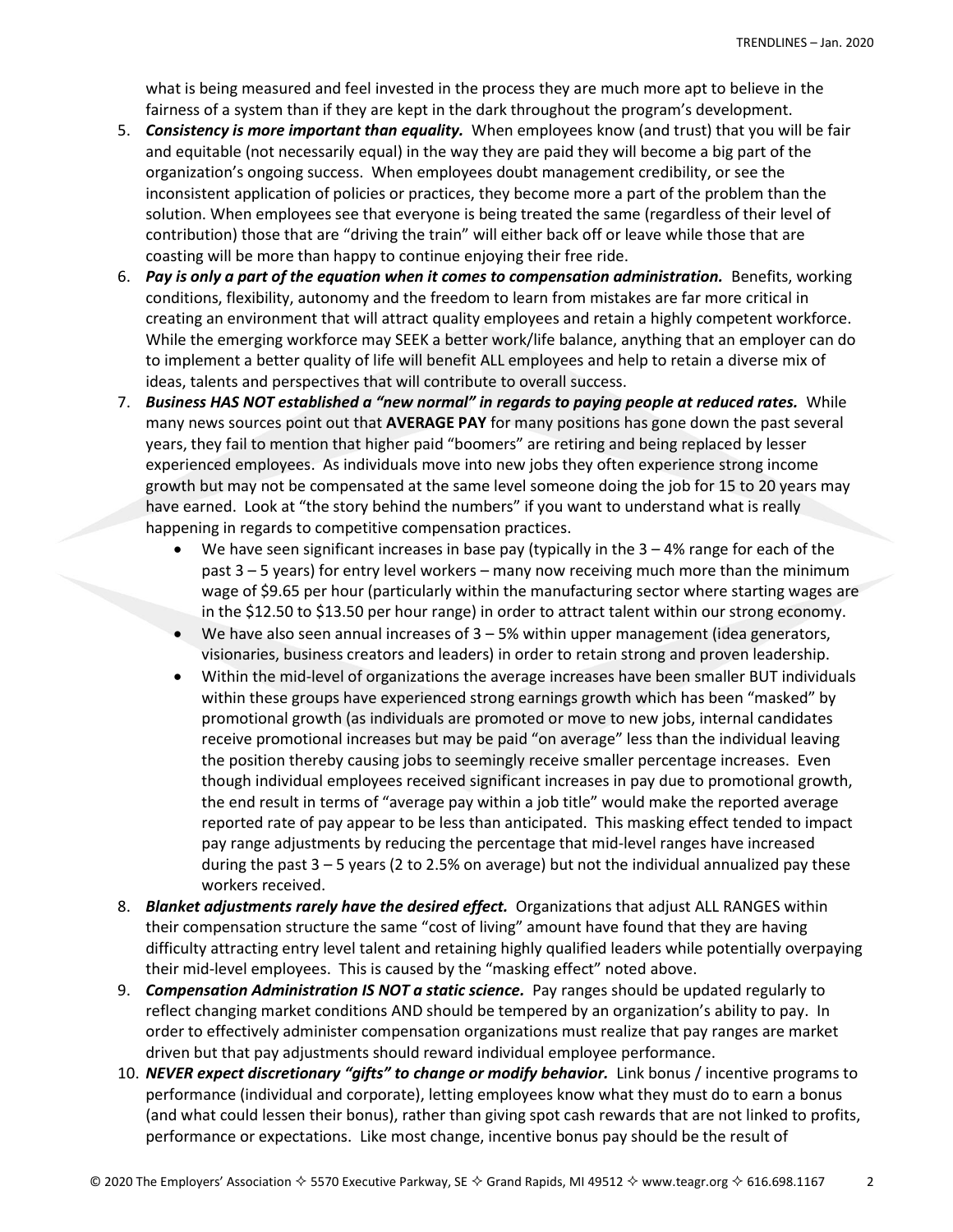what is being measured and feel invested in the process they are much more apt to believe in the fairness of a system than if they are kept in the dark throughout the program's development.

- 5. *Consistency is more important than equality.* When employees know (and trust) that you will be fair and equitable (not necessarily equal) in the way they are paid they will become a big part of the organization's ongoing success. When employees doubt management credibility, or see the inconsistent application of policies or practices, they become more a part of the problem than the solution. When employees see that everyone is being treated the same (regardless of their level of contribution) those that are "driving the train" will either back off or leave while those that are coasting will be more than happy to continue enjoying their free ride.
- 6. Pay is only a part of the equation when it comes to compensation administration. Benefits, working conditions, flexibility, autonomy and the freedom to learn from mistakes are far more critical in creating an environment that will attract quality employees and retain a highly competent workforce. While the emerging workforce may SEEK a better work/life balance, anything that an employer can do to implement a better quality of life will benefit ALL employees and help to retain a diverse mix of ideas, talents and perspectives that will contribute to overall success.
- 7. *Business HAS NOT established a "new normal" in regards to paying people at reduced rates.* While many news sources point out that **AVERAGE PAY** for many positions has gone down the past several years, they fail to mention that higher paid "boomers" are retiring and being replaced by lesser experienced employees. As individuals move into new jobs they often experience strong income growth but may not be compensated at the same level someone doing the job for 15 to 20 years may have earned. Look at "the story behind the numbers" if you want to understand what is really happening in regards to competitive compensation practices.
	- $\bullet$  We have seen significant increases in base pay (typically in the 3 4% range for each of the past 3 – 5 years) for entry level workers – many now receiving much more than the minimum wage of \$9.65 per hour (particularly within the manufacturing sector where starting wages are in the \$12.50 to \$13.50 per hour range) in order to attract talent within our strong economy.
	- $\bullet$  We have also seen annual increases of  $3 5%$  within upper management (idea generators, visionaries, business creators and leaders) in order to retain strong and proven leadership.
	- Within the mid-level of organizations the average increases have been smaller BUT individuals within these groups have experienced strong earnings growth which has been "masked" by promotional growth (as individuals are promoted or move to new jobs, internal candidates receive promotional increases but may be paid "on average" less than the individual leaving the position thereby causing jobs to seemingly receive smaller percentage increases. Even though individual employees received significant increases in pay due to promotional growth, the end result in terms of "average pay within a job title" would make the reported average reported rate of pay appear to be less than anticipated. This masking effect tended to impact pay range adjustments by reducing the percentage that mid-level ranges have increased during the past 3 – 5 years (2 to 2.5% on average) but not the individual annualized pay these workers received.
- 8. *Blanket adjustments rarely have the desired effect.* Organizations that adjust ALL RANGES within their compensation structure the same "cost of living" amount have found that they are having difficulty attracting entry level talent and retaining highly qualified leaders while potentially overpaying their mid-level employees. This is caused by the "masking effect" noted above.
- 9. *Compensation Administration IS NOT a static science.* Pay ranges should be updated regularly to reflect changing market conditions AND should be tempered by an organization's ability to pay. In order to effectively administer compensation organizations must realize that pay ranges are market driven but that pay adjustments should reward individual employee performance.
- 10. *NEVER expect discretionary "gifts" to change or modify behavior.* Link bonus / incentive programs to performance (individual and corporate), letting employees know what they must do to earn a bonus (and what could lessen their bonus), rather than giving spot cash rewards that are not linked to profits, performance or expectations. Like most change, incentive bonus pay should be the result of